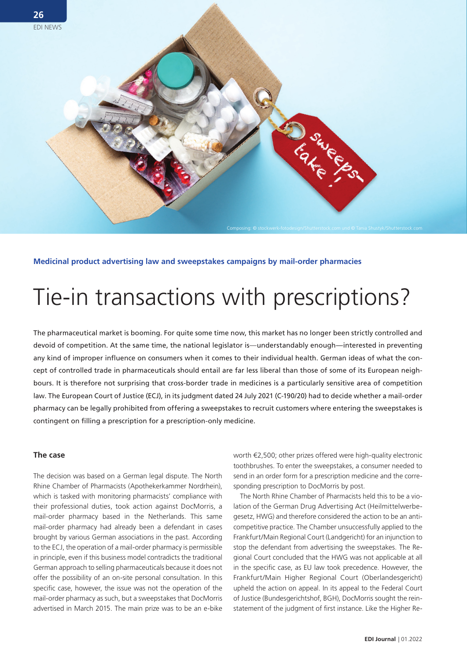

**Medicinal product advertising law and sweepstakes campaigns by mail-order pharmacies** 

# Tie-in transactions with prescriptions?

The pharmaceutical market is booming. For quite some time now, this market has no longer been strictly controlled and devoid of competition. At the same time, the national legislator is—understandably enough—interested in preventing any kind of improper influence on consumers when it comes to their individual health. German ideas of what the concept of controlled trade in pharmaceuticals should entail are far less liberal than those of some of its European neighbours. It is therefore not surprising that cross-border trade in medicines is a particularly sensitive area of competition law. The European Court of Justice (ECJ), in its judgment dated 24 July 2021 (C-190/20) had to decide whether a mail-order pharmacy can be legally prohibited from offering a sweepstakes to recruit customers where entering the sweepstakes is contingent on filling a prescription for a prescription-only medicine.

### **The case**

The decision was based on a German legal dispute. The North Rhine Chamber of Pharmacists (Apothekerkammer Nordrhein), which is tasked with monitoring pharmacists' compliance with their professional duties, took action against DocMorris, a mail-order pharmacy based in the Netherlands. This same mail-order pharmacy had already been a defendant in cases brought by various German associations in the past. According to the ECJ, the operation of a mail-order pharmacy is permissible in principle, even if this business model contradicts the traditional German approach to selling pharmaceuticals because it does not offer the possibility of an on-site personal consultation. In this specific case, however, the issue was not the operation of the mail-order pharmacy as such, but a sweepstakes that DocMorris advertised in March 2015. The main prize was to be an e-bike worth €2,500; other prizes offered were high-quality electronic toothbrushes. To enter the sweepstakes, a consumer needed to send in an order form for a prescription medicine and the corresponding prescription to DocMorris by post.

The North Rhine Chamber of Pharmacists held this to be a violation of the German Drug Advertising Act (Heilmittelwerbegesetz, HWG) and therefore considered the action to be an anticompetitive practice. The Chamber unsuccessfully applied to the Frankfurt/Main Regional Court (Landgericht) for an injunction to stop the defendant from advertising the sweepstakes. The Regional Court concluded that the HWG was not applicable at all in the specific case, as EU law took precedence. However, the Frankfurt/Main Higher Regional Court (Oberlandesgericht) upheld the action on appeal. In its appeal to the Federal Court of Justice (Bundesgerichtshof, BGH), DocMorris sought the reinstatement of the judgment of first instance. Like the Higher Re-